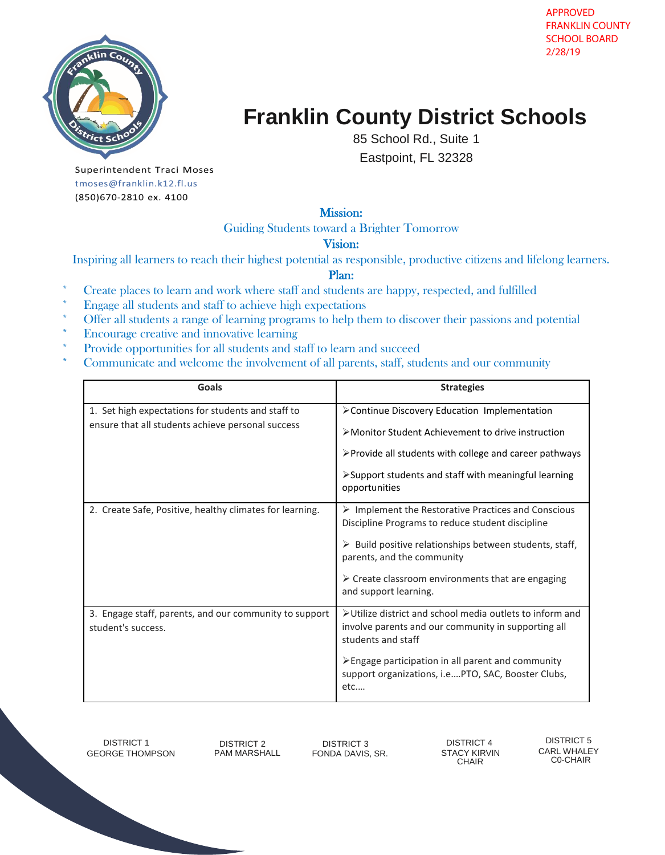

# **Franklin County District Schools**

85 School Rd., Suite 1

Eastpoint, FL 32328

Superintendent Traci Moses tmoses@franklin.k12.fl.us (850)670-2810 ex. 4100

## Mission:

Guiding Students toward a Brighter Tomorrow

#### Vision:

Inspiring all learners to reach their highest potential as responsible, productive citizens and lifelong learners.

### Plan:

- Create places to learn and work where staff and students are happy, respected, and fulfilled
- \* Engage all students and staff to achieve high expectations
- \* Offer all students a range of learning programs to help them to discover their passions and potential
- \* Encourage creative and innovative learning
- \* Provide opportunities for all students and staff to learn and succeed
- \* Communicate and welcome the involvement of all parents, staff, students and our community

| Goals                                                                                                   | <b>Strategies</b>                                                                                                                     |
|---------------------------------------------------------------------------------------------------------|---------------------------------------------------------------------------------------------------------------------------------------|
| 1. Set high expectations for students and staff to<br>ensure that all students achieve personal success | >Continue Discovery Education Implementation                                                                                          |
|                                                                                                         | >Monitor Student Achievement to drive instruction                                                                                     |
|                                                                                                         | ≻Provide all students with college and career pathways                                                                                |
|                                                                                                         | $\triangleright$ Support students and staff with meaningful learning<br>opportunities                                                 |
| 2. Create Safe, Positive, healthy climates for learning.                                                | $\triangleright$ Implement the Restorative Practices and Conscious<br>Discipline Programs to reduce student discipline                |
|                                                                                                         | Build positive relationships between students, staff,<br>parents, and the community                                                   |
|                                                                                                         | $\triangleright$ Create classroom environments that are engaging<br>and support learning.                                             |
| 3. Engage staff, parents, and our community to support<br>student's success.                            | >Utilize district and school media outlets to inform and<br>involve parents and our community in supporting all<br>students and staff |
|                                                                                                         | > Engage participation in all parent and community<br>support organizations, i.ePTO, SAC, Booster Clubs,<br>etc                       |

DISTRICT 1 DISTRICT 2 DISTRICT 3 DISTRICT 4 DISTRICT 5 GEORGE THOMPSON PAM MARSHALL FONDA DAVIS, SR. STACY KIRVIN CARL WHALEY<br>GEORGE THOMPSON PAM MARSHALL FONDA DAVIS, SR. STACY KIRVIN CO-CHAIR

C0-CHAIR